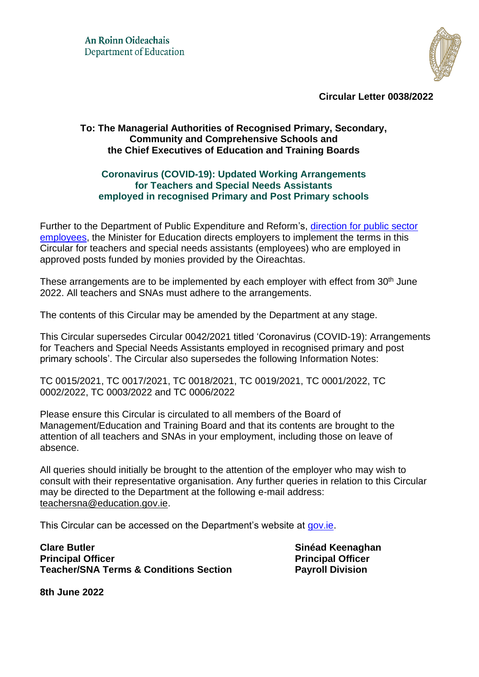

**Circular Letter 0038/2022**

## **To: The Managerial Authorities of Recognised Primary, Secondary, Community and Comprehensive Schools and the Chief Executives of Education and Training Boards**

## **Coronavirus (COVID-19): Updated Working Arrangements for Teachers and Special Needs Assistants employed in recognised Primary and Post Primary schools**

Further to the Department of Public Expenditure and Reform's, [direction for public sector](https://assets.gov.ie/225443/27097a3d-56e1-4150-8037-ee3c28719b0c.pdf)  [employees,](https://assets.gov.ie/225443/27097a3d-56e1-4150-8037-ee3c28719b0c.pdf) the Minister for Education directs employers to implement the terms in this Circular for teachers and special needs assistants (employees) who are employed in approved posts funded by monies provided by the Oireachtas.

These arrangements are to be implemented by each employer with effect from 30<sup>th</sup> June 2022. All teachers and SNAs must adhere to the arrangements.

The contents of this Circular may be amended by the Department at any stage.

This Circular supersedes Circular 0042/2021 titled 'Coronavirus (COVID-19): Arrangements for Teachers and Special Needs Assistants employed in recognised primary and post primary schools'. The Circular also supersedes the following Information Notes:

TC 0015/2021, TC 0017/2021, TC 0018/2021, TC 0019/2021, TC 0001/2022, TC 0002/2022, TC 0003/2022 and TC 0006/2022

Please ensure this Circular is circulated to all members of the Board of Management/Education and Training Board and that its contents are brought to the attention of all teachers and SNAs in your employment, including those on leave of absence.

All queries should initially be brought to the attention of the employer who may wish to consult with their representative organisation. Any further queries in relation to this Circular may be directed to the Department at the following e-mail address: [teachersna@education.gov.ie.](mailto:teachersna@education.gov.ie)

This Circular can be accessed on the Department's website at [gov.ie.](https://www.gov.ie/en/service/3393f-coronavirus-covid19-special-leave-with-pay-for-teachers-and-special-needs-assistants-employed-in-recognised-primary-and-post-primary-schools/)

**Clare Butler Sinéad Keenaghan Principal Officer Principal Officer Teacher/SNA Terms & Conditions Section Payroll Division**

**8th June 2022**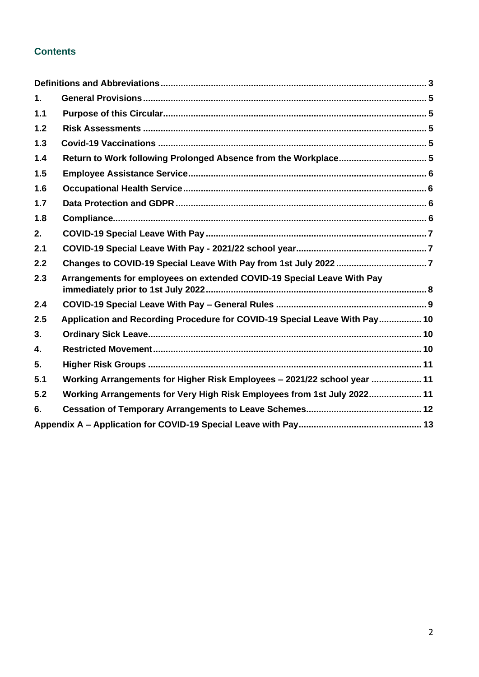# **Contents**

| $\mathbf 1$ .  |                                                                            |  |
|----------------|----------------------------------------------------------------------------|--|
| 1.1            |                                                                            |  |
| 1.2            |                                                                            |  |
| 1.3            |                                                                            |  |
| 1.4            | Return to Work following Prolonged Absence from the Workplace 5            |  |
| 1.5            |                                                                            |  |
| 1.6            |                                                                            |  |
| 1.7            |                                                                            |  |
| 1.8            |                                                                            |  |
| 2.             |                                                                            |  |
| 2.1            |                                                                            |  |
| 2.2            |                                                                            |  |
| 2.3            | Arrangements for employees on extended COVID-19 Special Leave With Pay     |  |
| 2.4            |                                                                            |  |
| 2.5            | Application and Recording Procedure for COVID-19 Special Leave With Pay 10 |  |
| 3 <sub>1</sub> |                                                                            |  |
| $\mathbf{4}$   |                                                                            |  |
| 5.             |                                                                            |  |
| 5.1            | Working Arrangements for Higher Risk Employees - 2021/22 school year  11   |  |
| 5.2            | Working Arrangements for Very High Risk Employees from 1st July 2022 11    |  |
| 6.             |                                                                            |  |
|                |                                                                            |  |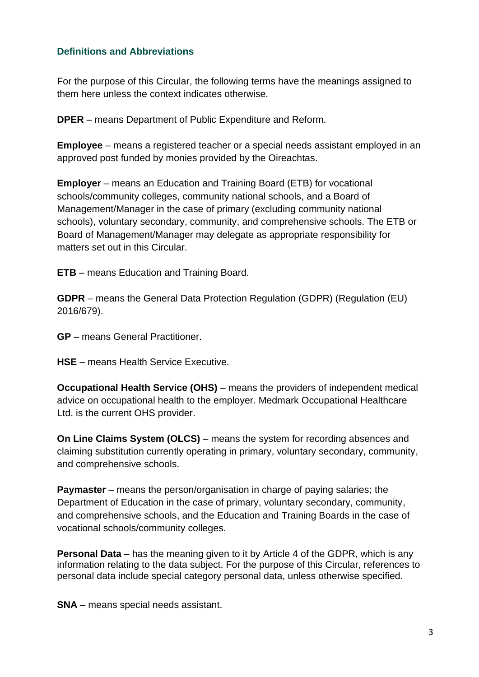## <span id="page-2-0"></span>**Definitions and Abbreviations**

For the purpose of this Circular, the following terms have the meanings assigned to them here unless the context indicates otherwise.

**DPER** – means Department of Public Expenditure and Reform.

**Employee** – means a registered teacher or a special needs assistant employed in an approved post funded by monies provided by the Oireachtas.

**Employer** – means an Education and Training Board (ETB) for vocational schools/community colleges, community national schools, and a Board of Management/Manager in the case of primary (excluding community national schools), voluntary secondary, community, and comprehensive schools. The ETB or Board of Management/Manager may delegate as appropriate responsibility for matters set out in this Circular.

**ETB** – means Education and Training Board.

**GDPR** – means the General Data Protection Regulation (GDPR) (Regulation (EU) 2016/679).

**GP** – means General Practitioner.

**HSE** – means Health Service Executive.

**Occupational Health Service (OHS)** – means the providers of independent medical advice on occupational health to the employer. Medmark Occupational Healthcare Ltd. is the current OHS provider.

**On Line Claims System (OLCS)** – means the system for recording absences and claiming substitution currently operating in primary, voluntary secondary, community, and comprehensive schools.

**Paymaster** – means the person/organisation in charge of paying salaries; the Department of Education in the case of primary, voluntary secondary, community, and comprehensive schools, and the Education and Training Boards in the case of vocational schools/community colleges.

**Personal Data** – has the meaning given to it by Article 4 of the GDPR, which is any information relating to the data subject. For the purpose of this Circular, references to personal data include special category personal data, unless otherwise specified.

**SNA** – means special needs assistant.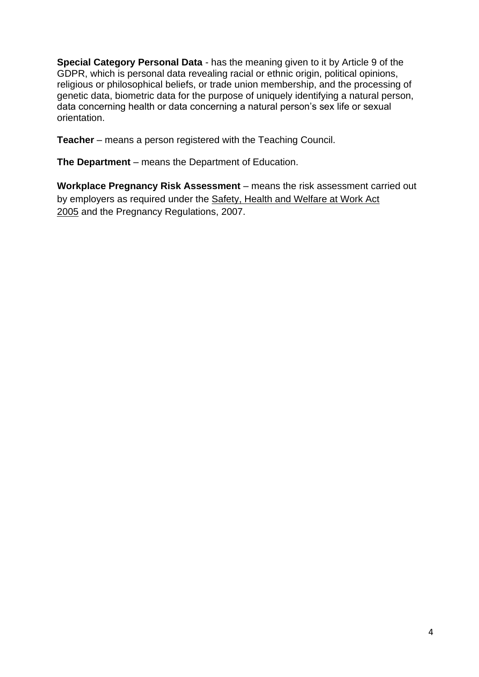**Special Category Personal Data** - has the meaning given to it by Article 9 of the GDPR, which is personal data revealing racial or ethnic origin, political opinions, religious or philosophical beliefs, or trade union membership, and the processing of genetic data, biometric data for the purpose of uniquely identifying a natural person, data concerning health or data concerning a natural person's sex life or sexual orientation.

**Teacher** – means a person registered with the Teaching Council.

**The Department** – means the Department of Education.

**Workplace Pregnancy Risk Assessment** – means the risk assessment carried out by employers as required under the [Safety, Health and Welfare at Work Act](http://www.irishstatutebook.ie/eli/2005/act/10/enacted/en/pdf)  [2005](http://www.irishstatutebook.ie/eli/2005/act/10/enacted/en/pdf) and the Pregnancy Regulations, 2007.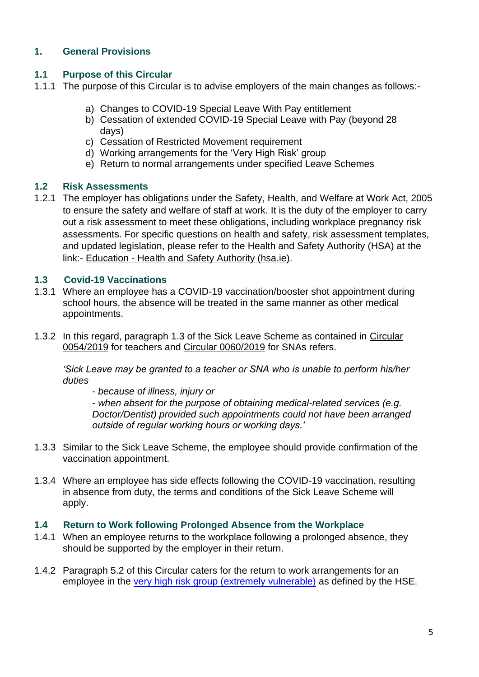# <span id="page-4-0"></span>**1. General Provisions**

## <span id="page-4-1"></span>**1.1 Purpose of this Circular**

- 1.1.1 The purpose of this Circular is to advise employers of the main changes as follows:
	- a) Changes to COVID-19 Special Leave With Pay entitlement
	- b) Cessation of extended COVID-19 Special Leave with Pay (beyond 28 days)
	- c) Cessation of Restricted Movement requirement
	- d) Working arrangements for the 'Very High Risk' group
	- e) Return to normal arrangements under specified Leave Schemes

### <span id="page-4-2"></span>**1.2 Risk Assessments**

1.2.1 The employer has obligations under the Safety, Health, and Welfare at Work Act, 2005 to ensure the safety and welfare of staff at work. It is the duty of the employer to carry out a risk assessment to meet these obligations, including workplace pregnancy risk assessments. For specific questions on health and safety, risk assessment templates, and updated legislation, please refer to the Health and Safety Authority (HSA) at the link:- Education - [Health and Safety](https://www.hsa.ie/eng/education/managing_safety_and_health_in_schools/) Authority (hsa.ie).

### <span id="page-4-3"></span>**1.3 Covid-19 Vaccinations**

- 1.3.1 Where an employee has a COVID-19 vaccination/booster shot appointment during school hours, the absence will be treated in the same manner as other medical appointments.
- 1.3.2 In this regard, paragraph 1.3 of the Sick Leave Scheme as contained in [Circular](https://www.gov.ie/en/circular/leave-schemes-for-registered-teachers-in-primary-post-primary-schools/)  [0054/2019](https://www.gov.ie/en/circular/leave-schemes-for-registered-teachers-in-primary-post-primary-schools/) for teachers and [Circular 0060/2019](https://www.gov.ie/en/circular/sick-leave-scheme-for-special-needs-assistants-employed-in-recognised-primary-post-primary-schools/) for SNAs refers.

*'Sick Leave may be granted to a teacher or SNA who is unable to perform his/her duties* 

- *because of illness, injury or* 

- *when absent for the purpose of obtaining medical-related services (e.g. Doctor/Dentist) provided such appointments could not have been arranged outside of regular working hours or working days.'*

- 1.3.3 Similar to the Sick Leave Scheme, the employee should provide confirmation of the vaccination appointment.
- 1.3.4 Where an employee has side effects following the COVID-19 vaccination, resulting in absence from duty, the terms and conditions of the Sick Leave Scheme will apply.

#### <span id="page-4-4"></span>**1.4 Return to Work following Prolonged Absence from the Workplace**

- 1.4.1 When an employee returns to the workplace following a prolonged absence, they should be supported by the employer in their return.
- 1.4.2 Paragraph 5.2 of this Circular caters for the return to work arrangements for an employee in the [very high risk group \(extremely vulnerable\)](https://www2.hse.ie/conditions/covid19/people-at-higher-risk/overview/) as defined by the HSE.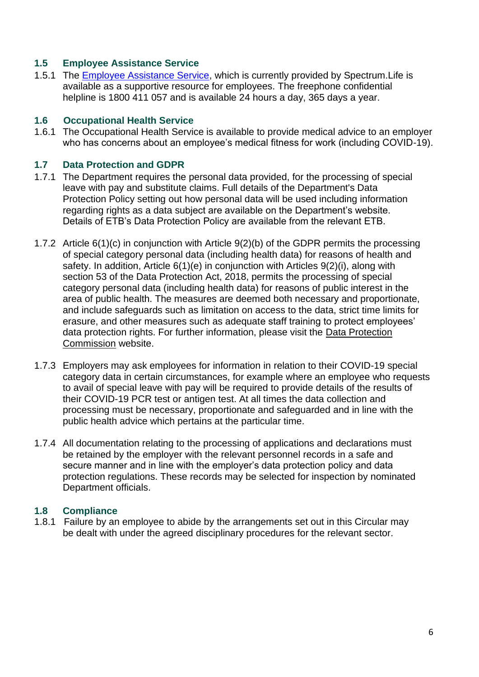## <span id="page-5-0"></span>**1.5 Employee Assistance Service**

1.5.1 The [Employee Assistance Service,](https://www.education.ie/en/Education-Staff/Services/Employee-Assistance-Service/employee-assistance-service.html) which is currently provided by Spectrum. Life is available as a supportive resource for employees. The freephone confidential helpline is 1800 411 057 and is available 24 hours a day, 365 days a year.

#### <span id="page-5-1"></span>**1.6 Occupational Health Service**

1.6.1 The Occupational Health Service is available to provide medical advice to an employer who has concerns about an employee's medical fitness for work (including COVID-19).

### <span id="page-5-2"></span>**1.7 Data Protection and GDPR**

- 1.7.1 The Department requires the personal data provided, for the processing of special leave with pay and substitute claims. Full details of the Department's Data Protection Policy setting out how personal data will be used including information regarding rights as a data subject are available on the Department's website. Details of ETB's Data Protection Policy are available from the relevant ETB.
- 1.7.2 Article 6(1)(c) in conjunction with Article 9(2)(b) of the GDPR permits the processing of special category personal data (including health data) for reasons of health and safety. In addition, Article 6(1)(e) in conjunction with Articles 9(2)(i), along with section 53 of the Data Protection Act, 2018, permits the processing of special category personal data (including health data) for reasons of public interest in the area of public health. The measures are deemed both necessary and proportionate, and include safeguards such as limitation on access to the data, strict time limits for erasure, and other measures such as adequate staff training to protect employees' data protection rights. For further information, please visit the [Data Protection](https://www.dataprotection.ie/)  [Commission](https://www.dataprotection.ie/) website.
- 1.7.3 Employers may ask employees for information in relation to their COVID-19 special category data in certain circumstances, for example where an employee who requests to avail of special leave with pay will be required to provide details of the results of their COVID-19 PCR test or antigen test. At all times the data collection and processing must be necessary, proportionate and safeguarded and in line with the public health advice which pertains at the particular time.
- 1.7.4 All documentation relating to the processing of applications and declarations must be retained by the employer with the relevant personnel records in a safe and secure manner and in line with the employer's data protection policy and data protection regulations. These records may be selected for inspection by nominated Department officials.

#### <span id="page-5-3"></span>**1.8 Compliance**

1.8.1 Failure by an employee to abide by the arrangements set out in this Circular may be dealt with under the agreed disciplinary procedures for the relevant sector.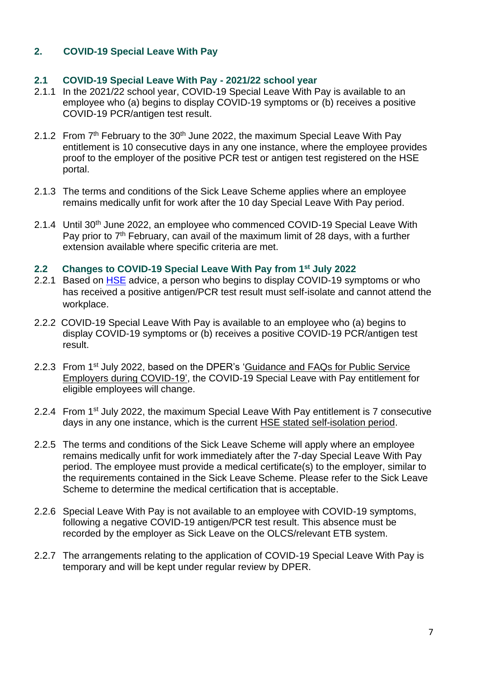# <span id="page-6-0"></span>**2. COVID-19 Special Leave With Pay**

### <span id="page-6-1"></span>**2.1 COVID-19 Special Leave With Pay - 2021/22 school year**

- 2.1.1 In the 2021/22 school year, COVID-19 Special Leave With Pay is available to an employee who (a) begins to display COVID-19 symptoms or (b) receives a positive COVID-19 PCR/antigen test result.
- 2.1.2 From 7<sup>th</sup> February to the 30<sup>th</sup> June 2022, the maximum Special Leave With Pay entitlement is 10 consecutive days in any one instance, where the employee provides proof to the employer of the positive PCR test or antigen test registered on the HSE portal.
- 2.1.3 The terms and conditions of the Sick Leave Scheme applies where an employee remains medically unfit for work after the 10 day Special Leave With Pay period.
- 2.1.4 Until 30<sup>th</sup> June 2022, an employee who commenced COVID-19 Special Leave With Pay prior to 7<sup>th</sup> February, can avail of the maximum limit of 28 days, with a further extension available where specific criteria are met.

#### <span id="page-6-2"></span>**2.2 Changes to COVID-19 Special Leave With Pay from 1st July 2022**

- 2.2.1 Based on **HSE** advice, a person who begins to display COVID-19 symptoms or who has received a positive antigen/PCR test result must self-isolate and cannot attend the workplace.
- 2.2.2 COVID-19 Special Leave With Pay is available to an employee who (a) begins to display COVID-19 symptoms or (b) receives a positive COVID-19 PCR/antigen test result.
- 2.2.3 From 1<sup>st</sup> July 2022, based on the DPER's 'Guidance and FAQs for Public Service [Employers during COVID-19',](https://www.gov.ie/en/news/092fff-update-on-working-arrangements-and-leave-associated-with-covid-19-fo/) the COVID-19 Special Leave with Pay entitlement for eligible employees will change.
- 2.2.4 From 1<sup>st</sup> July 2022, the maximum Special Leave With Pay entitlement is 7 consecutive days in any one instance, which is the current [HSE stated self-isolation period.](https://www.gov.ie/en/publication/3361b-public-health-updates/#covid-19-symptoms-cases-and-close-contacts)
- 2.2.5 The terms and conditions of the Sick Leave Scheme will apply where an employee remains medically unfit for work immediately after the 7-day Special Leave With Pay period. The employee must provide a medical certificate(s) to the employer, similar to the requirements contained in the Sick Leave Scheme. Please refer to the Sick Leave Scheme to determine the medical certification that is acceptable.
- 2.2.6 Special Leave With Pay is not available to an employee with COVID-19 symptoms, following a negative COVID-19 antigen/PCR test result. This absence must be recorded by the employer as Sick Leave on the OLCS/relevant ETB system.
- 2.2.7 The arrangements relating to the application of COVID-19 Special Leave With Pay is temporary and will be kept under regular review by DPER.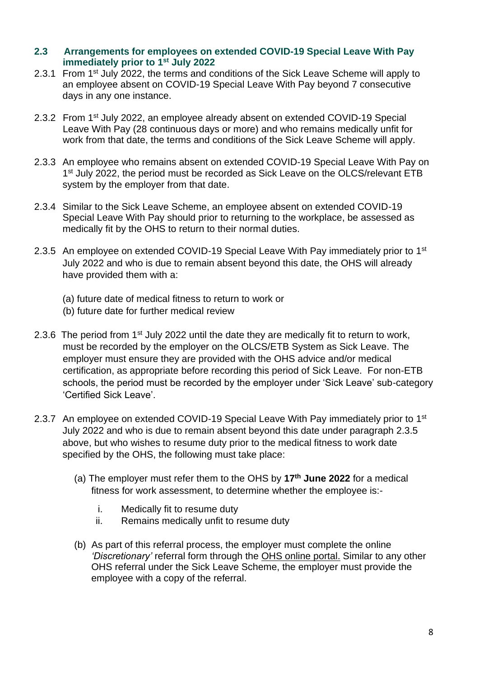#### <span id="page-7-0"></span>**2.3 Arrangements for employees on extended COVID-19 Special Leave With Pay immediately prior to 1st July 2022**

- 2.3.1 From 1<sup>st</sup> July 2022, the terms and conditions of the Sick Leave Scheme will apply to an employee absent on COVID-19 Special Leave With Pay beyond 7 consecutive days in any one instance.
- 2.3.2 From 1<sup>st</sup> July 2022, an employee already absent on extended COVID-19 Special Leave With Pay (28 continuous days or more) and who remains medically unfit for work from that date, the terms and conditions of the Sick Leave Scheme will apply.
- 2.3.3 An employee who remains absent on extended COVID-19 Special Leave With Pay on 1<sup>st</sup> July 2022, the period must be recorded as Sick Leave on the OLCS/relevant ETB system by the employer from that date.
- 2.3.4 Similar to the Sick Leave Scheme, an employee absent on extended COVID-19 Special Leave With Pay should prior to returning to the workplace, be assessed as medically fit by the OHS to return to their normal duties.
- 2.3.5 An employee on extended COVID-19 Special Leave With Pay immediately prior to 1<sup>st</sup> July 2022 and who is due to remain absent beyond this date, the OHS will already have provided them with a:
	- (a) future date of medical fitness to return to work or
	- (b) future date for further medical review
- 2.3.6 The period from 1<sup>st</sup> July 2022 until the date they are medically fit to return to work, must be recorded by the employer on the OLCS/ETB System as Sick Leave. The employer must ensure they are provided with the OHS advice and/or medical certification, as appropriate before recording this period of Sick Leave. For non-ETB schools, the period must be recorded by the employer under 'Sick Leave' sub-category 'Certified Sick Leave'.
- 2.3.7 An employee on extended COVID-19 Special Leave With Pay immediately prior to 1<sup>st</sup> July 2022 and who is due to remain absent beyond this date under paragraph 2.3.5 above, but who wishes to resume duty prior to the medical fitness to work date specified by the OHS, the following must take place:
	- (a) The employer must refer them to the OHS by **17th June 2022** for a medical fitness for work assessment, to determine whether the employee is:
		- i. Medically fit to resume duty
		- ii. Remains medically unfit to resume duty
	- (b) As part of this referral process, the employer must complete the online *'Discretionary'* referral form through the [OHS online portal.](http://www.medmark4teachersna.ie/) Similar to any other OHS referral under the Sick Leave Scheme, the employer must provide the employee with a copy of the referral.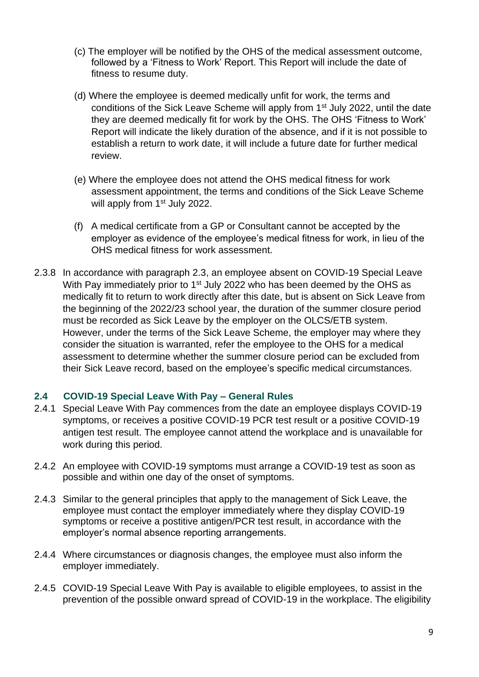- (c) The employer will be notified by the OHS of the medical assessment outcome, followed by a 'Fitness to Work' Report. This Report will include the date of fitness to resume duty.
- (d) Where the employee is deemed medically unfit for work, the terms and conditions of the Sick Leave Scheme will apply from 1<sup>st</sup> July 2022, until the date they are deemed medically fit for work by the OHS. The OHS 'Fitness to Work' Report will indicate the likely duration of the absence, and if it is not possible to establish a return to work date, it will include a future date for further medical review.
- (e) Where the employee does not attend the OHS medical fitness for work assessment appointment, the terms and conditions of the Sick Leave Scheme will apply from 1<sup>st</sup> July 2022.
- (f) A medical certificate from a GP or Consultant cannot be accepted by the employer as evidence of the employee's medical fitness for work, in lieu of the OHS medical fitness for work assessment.
- 2.3.8 In accordance with paragraph 2.3, an employee absent on COVID-19 Special Leave With Pay immediately prior to 1<sup>st</sup> July 2022 who has been deemed by the OHS as medically fit to return to work directly after this date, but is absent on Sick Leave from the beginning of the 2022/23 school year, the duration of the summer closure period must be recorded as Sick Leave by the employer on the OLCS/ETB system. However, under the terms of the Sick Leave Scheme, the employer may where they consider the situation is warranted, refer the employee to the OHS for a medical assessment to determine whether the summer closure period can be excluded from their Sick Leave record, based on the employee's specific medical circumstances.

## <span id="page-8-0"></span>**2.4 COVID-19 Special Leave With Pay – General Rules**

- 2.4.1 Special Leave With Pay commences from the date an employee displays COVID-19 symptoms, or receives a positive COVID-19 PCR test result or a positive COVID-19 antigen test result. The employee cannot attend the workplace and is unavailable for work during this period.
- 2.4.2 An employee with COVID-19 symptoms must arrange a COVID-19 test as soon as possible and within one day of the onset of symptoms.
- 2.4.3 Similar to the general principles that apply to the management of Sick Leave, the employee must contact the employer immediately where they display COVID-19 symptoms or receive a postitive antigen/PCR test result, in accordance with the employer's normal absence reporting arrangements.
- 2.4.4 Where circumstances or diagnosis changes, the employee must also inform the employer immediately.
- 2.4.5 COVID-19 Special Leave With Pay is available to eligible employees, to assist in the prevention of the possible onward spread of COVID-19 in the workplace. The eligibility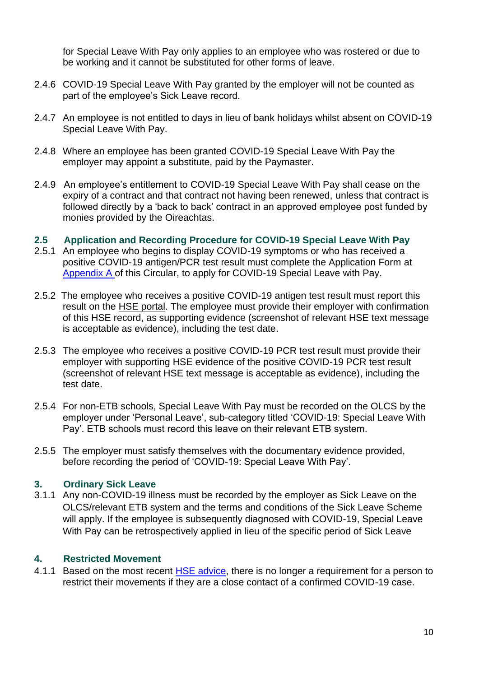for Special Leave With Pay only applies to an employee who was rostered or due to be working and it cannot be substituted for other forms of leave.

- 2.4.6 COVID-19 Special Leave With Pay granted by the employer will not be counted as part of the employee's Sick Leave record.
- 2.4.7 An employee is not entitled to days in lieu of bank holidays whilst absent on COVID-19 Special Leave With Pay.
- 2.4.8 Where an employee has been granted COVID-19 Special Leave With Pay the employer may appoint a substitute, paid by the Paymaster.
- 2.4.9 An employee's entitlement to COVID-19 Special Leave With Pay shall cease on the expiry of a contract and that contract not having been renewed, unless that contract is followed directly by a 'back to back' contract in an approved employee post funded by monies provided by the Oireachtas.

#### <span id="page-9-0"></span>**2.5 Application and Recording Procedure for COVID-19 Special Leave With Pay**

- 2.5.1 An employee who begins to display COVID-19 symptoms or who has received a positive COVID-19 antigen/PCR test result must complete the Application Form at [Appendix A](#page-12-1) of this Circular, to apply for COVID-19 Special Leave with Pay.
- 2.5.2 The employee who receives a positive COVID-19 antigen test result must report this result on the [HSE portal.](https://antigentesting.hse.ie/) The employee must provide their employer with confirmation of this HSE record, as supporting evidence (screenshot of relevant HSE text message is acceptable as evidence), including the test date.
- 2.5.3 The employee who receives a positive COVID-19 PCR test result must provide their employer with supporting HSE evidence of the positive COVID-19 PCR test result (screenshot of relevant HSE text message is acceptable as evidence), including the test date.
- 2.5.4 For non-ETB schools, Special Leave With Pay must be recorded on the OLCS by the employer under 'Personal Leave', sub-category titled 'COVID-19: Special Leave With Pay'. ETB schools must record this leave on their relevant ETB system.
- 2.5.5 The employer must satisfy themselves with the documentary evidence provided, before recording the period of 'COVID-19: Special Leave With Pay'.

#### <span id="page-9-1"></span>**3. Ordinary Sick Leave**

3.1.1 Any non-COVID-19 illness must be recorded by the employer as Sick Leave on the OLCS/relevant ETB system and the terms and conditions of the Sick Leave Scheme will apply. If the employee is subsequently diagnosed with COVID-19, Special Leave With Pay can be retrospectively applied in lieu of the specific period of Sick Leave

#### <span id="page-9-2"></span>**4. Restricted Movement**

4.1.1 Based on the most recent [HSE advice,](https://www2.hse.ie/conditions/covid19/contact-tracing/close-contact/) there is no longer a requirement for a person to restrict their movements if they are a close contact of a confirmed COVID-19 case.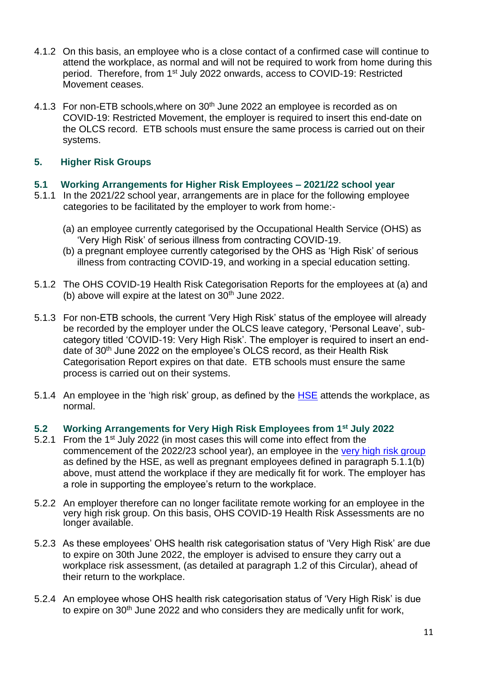- 4.1.2 On this basis, an employee who is a close contact of a confirmed case will continue to attend the workplace, as normal and will not be required to work from home during this period. Therefore, from 1<sup>st</sup> July 2022 onwards, access to COVID-19: Restricted Movement ceases.
- 4.1.3 For non-ETB schools, where on 30<sup>th</sup> June 2022 an employee is recorded as on COVID-19: Restricted Movement, the employer is required to insert this end-date on the OLCS record. ETB schools must ensure the same process is carried out on their systems.

## <span id="page-10-0"></span>**5. Higher Risk Groups**

### <span id="page-10-1"></span>**5.1 Working Arrangements for Higher Risk Employees – 2021/22 school year**

- 5.1.1 In the 2021/22 school year, arrangements are in place for the following employee categories to be facilitated by the employer to work from home:-
	- (a) an employee currently categorised by the Occupational Health Service (OHS) as 'Very High Risk' of serious illness from contracting COVID-19.
	- (b) a pregnant employee currently categorised by the OHS as 'High Risk' of serious illness from contracting COVID-19, and working in a special education setting.
- 5.1.2 The OHS COVID-19 Health Risk Categorisation Reports for the employees at (a) and (b) above will expire at the latest on  $30<sup>th</sup>$  June 2022.
- 5.1.3 For non-ETB schools, the current 'Very High Risk' status of the employee will already be recorded by the employer under the OLCS leave category, 'Personal Leave', subcategory titled 'COVID-19: Very High Risk'. The employer is required to insert an enddate of 30<sup>th</sup> June 2022 on the employee's OLCS record, as their Health Risk Categorisation Report expires on that date. ETB schools must ensure the same process is carried out on their systems.
- 5.1.4 An employee in the 'high risk' group, as defined by the [HSE](https://www2.hse.ie/conditions/covid19/people-at-higher-risk/overview/) attends the workplace, as normal.
- <span id="page-10-2"></span>**5.2 Working Arrangements for Very High Risk Employees from 1st July 2022**
- 5.2.1 From the 1<sup>st</sup> July 2022 (in most cases this will come into effect from the commencement of the 2022/23 school year), an employee in the [very high risk group](https://www2.hse.ie/conditions/covid19/people-at-higher-risk/overview/) as defined by the HSE, as well as pregnant employees defined in paragraph 5.1.1(b) above, must attend the workplace if they are medically fit for work. The employer has a role in supporting the employee's return to the workplace.
- 5.2.2 An employer therefore can no longer facilitate remote working for an employee in the very high risk group. On this basis, OHS COVID-19 Health Risk Assessments are no longer available.
- 5.2.3 As these employees' OHS health risk categorisation status of 'Very High Risk' are due to expire on 30th June 2022, the employer is advised to ensure they carry out a workplace risk assessment, (as detailed at paragraph 1.2 of this Circular), ahead of their return to the workplace.
- 5.2.4 An employee whose OHS health risk categorisation status of 'Very High Risk' is due to expire on  $30<sup>th</sup>$  June 2022 and who considers they are medically unfit for work,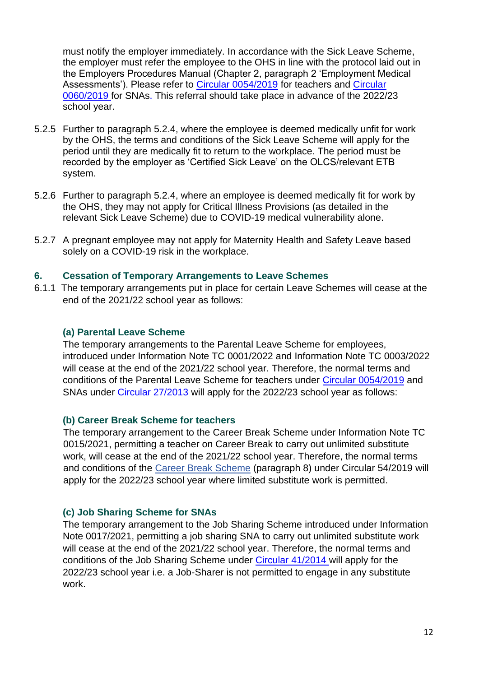must notify the employer immediately. In accordance with the Sick Leave Scheme, the employer must refer the employee to the OHS in line with the protocol laid out in the Employers Procedures Manual (Chapter 2, paragraph 2 'Employment Medical Assessments'). Please refer to [Circular 0054/2019](https://www.gov.ie/en/circular/leave-schemes-for-registered-teachers-in-primary-post-primary-schools/) for teachers and [Circular](https://www.gov.ie/en/circular/sick-leave-scheme-for-special-needs-assistants-employed-in-recognised-primary-post-primary-schools/)  [0060/2019](https://www.gov.ie/en/circular/sick-leave-scheme-for-special-needs-assistants-employed-in-recognised-primary-post-primary-schools/) for SNAs. This referral should take place in advance of the 2022/23 school year.

- 5.2.5 Further to paragraph 5.2.4, where the employee is deemed medically unfit for work by the OHS, the terms and conditions of the Sick Leave Scheme will apply for the period until they are medically fit to return to the workplace. The period must be recorded by the employer as 'Certified Sick Leave' on the OLCS/relevant ETB system.
- 5.2.6 Further to paragraph 5.2.4, where an employee is deemed medically fit for work by the OHS, they may not apply for Critical Illness Provisions (as detailed in the relevant Sick Leave Scheme) due to COVID-19 medical vulnerability alone.
- 5.2.7 A pregnant employee may not apply for Maternity Health and Safety Leave based solely on a COVID-19 risk in the workplace.

### <span id="page-11-0"></span>**6. Cessation of Temporary Arrangements to Leave Schemes**

6.1.1 The temporary arrangements put in place for certain Leave Schemes will cease at the end of the 2021/22 school year as follows:

#### **(a) Parental Leave Scheme**

The temporary arrangements to the Parental Leave Scheme for employees, introduced under Information Note TC 0001/2022 and Information Note TC 0003/2022 will cease at the end of the 2021/22 school year. Therefore, the normal terms and conditions of the Parental Leave Scheme for teachers under [Circular 0054/2019](https://www.gov.ie/pdf/31530/?page=81) and SNAs under [Circular 27/2013](https://www.gov.ie/pdf/?file=https://assets.gov.ie/13465/32f78323a71d4b228730982b8ec2168f.pdf#page=1) will apply for the 2022/23 school year as follows:

#### **(b) Career Break Scheme for teachers**

The temporary arrangement to the Career Break Scheme under Information Note TC 0015/2021, permitting a teacher on Career Break to carry out unlimited substitute work, will cease at the end of the 2021/22 school year. Therefore, the normal terms and conditions of the [Career Break Scheme](https://www.gov.ie/pdf/31530/?page=102) (paragraph 8) under Circular 54/2019 will apply for the 2022/23 school year where limited substitute work is permitted.

## **(c) Job Sharing Scheme for SNAs**

The temporary arrangement to the Job Sharing Scheme introduced under Information Note 0017/2021, permitting a job sharing SNA to carry out unlimited substitute work will cease at the end of the 2021/22 school year. Therefore, the normal terms and conditions of the Job Sharing Scheme under [Circular 41/2014](https://www.gov.ie/pdf/?file=https://assets.gov.ie/13302/1e5aac245cff450fa9a42b066f2dd530.pdf#page=null) will apply for the 2022/23 school year i.e. a Job-Sharer is not permitted to engage in any substitute work.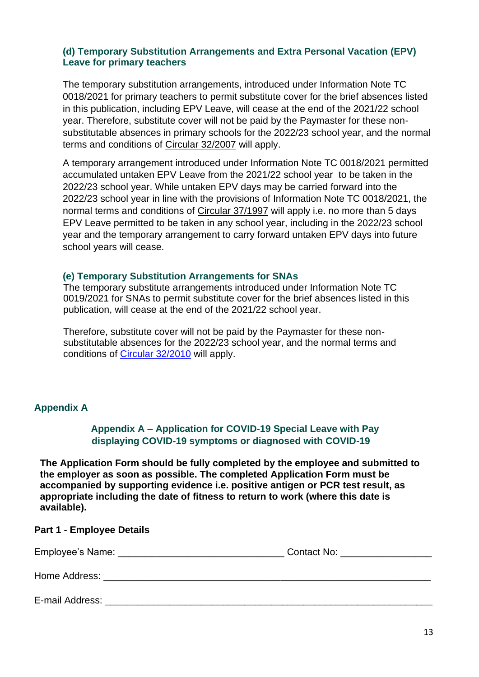### **(d) Temporary Substitution Arrangements and Extra Personal Vacation (EPV) Leave for primary teachers**

The temporary substitution arrangements, introduced under Information Note TC 0018/2021 for primary teachers to permit substitute cover for the brief absences listed in this publication, including EPV Leave, will cease at the end of the 2021/22 school year. Therefore, substitute cover will not be paid by the Paymaster for these nonsubstitutable absences in primary schools for the 2022/23 school year, and the normal terms and conditions of [Circular 32/2007](https://www.gov.ie/en/circular/7a879c9cf28a4d71b6456fad1874c53c/) will apply.

A temporary arrangement introduced under Information Note TC 0018/2021 permitted accumulated untaken EPV Leave from the 2021/22 school year to be taken in the 2022/23 school year. While untaken EPV days may be carried forward into the 2022/23 school year in line with the provisions of Information Note TC 0018/2021, the normal terms and conditions of [Circular 37/1997](https://circulars.gov.ie/pdf/circular/education/1997/37.pdf) will apply i.e. no more than 5 days EPV Leave permitted to be taken in any school year, including in the 2022/23 school year and the temporary arrangement to carry forward untaken EPV days into future school years will cease.

#### **(e) Temporary Substitution Arrangements for SNAs**

The temporary substitute arrangements introduced under Information Note TC 0019/2021 for SNAs to permit substitute cover for the brief absences listed in this publication, will cease at the end of the 2021/22 school year.

Therefore, substitute cover will not be paid by the Paymaster for these nonsubstitutable absences for the 2022/23 school year, and the normal terms and conditions of [Circular 32/2010](https://www.gov.ie/en/circular/7f6adf63acae4d66aaef50cb71ad0116/) will apply.

#### <span id="page-12-1"></span>**Appendix A**

### <span id="page-12-0"></span>**Appendix A – Application for COVID-19 Special Leave with Pay displaying COVID-19 symptoms or diagnosed with COVID-19**

**The Application Form should be fully completed by the employee and submitted to the employer as soon as possible. The completed Application Form must be accompanied by supporting evidence i.e. positive antigen or PCR test result, as appropriate including the date of fitness to return to work (where this date is available).**

#### **Part 1 - Employee Details**

E-mail Address:

| Employee's Name: | Contact No: |
|------------------|-------------|
| Home Address:    |             |

13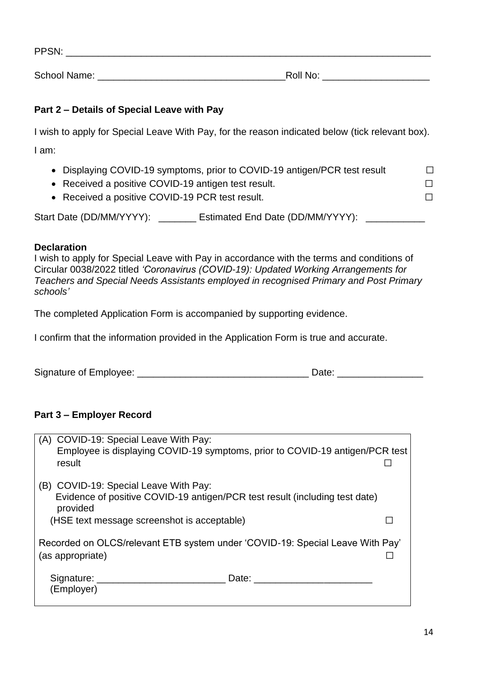PPSN:

School Name: \_\_\_\_\_\_\_\_\_\_\_\_\_\_\_\_\_\_\_\_\_\_\_\_\_\_\_\_\_\_\_\_\_\_\_Roll No: \_\_\_\_\_\_\_\_\_\_\_\_\_\_\_\_\_\_\_\_

# **Part 2 – Details of Special Leave with Pay**

I wish to apply for Special Leave With Pay, for the reason indicated below (tick relevant box).

I am:

- Displaying COVID-19 symptoms, prior to COVID-19 antigen/PCR test result  $\Box$
- Received a positive COVID-19 antigen test result.  $□$
- Received a positive COVID-19 PCR test result.  $□$

Start Date (DD/MM/YYYY): \_\_\_\_\_\_\_ Estimated End Date (DD/MM/YYYY): \_\_\_\_\_\_\_\_\_\_\_\_\_\_

## **Declaration**

I wish to apply for Special Leave with Pay in accordance with the terms and conditions of Circular 0038/2022 titled *'Coronavirus (COVID-19): Updated Working Arrangements for Teachers and Special Needs Assistants employed in recognised Primary and Post Primary schools'*

The completed Application Form is accompanied by supporting evidence.

I confirm that the information provided in the Application Form is true and accurate.

Signature of Employee: \_\_\_\_\_\_\_\_\_\_\_\_\_\_\_\_\_\_\_\_\_\_\_\_\_\_\_\_\_\_\_\_ Date: \_\_\_\_\_\_\_\_\_\_\_\_\_\_\_\_

## **Part 3 – Employer Record**

|                                                                                                                                  | (A) COVID-19: Special Leave With Pay:<br>Employee is displaying COVID-19 symptoms, prior to COVID-19 antigen/PCR test<br>result |       |  |  |
|----------------------------------------------------------------------------------------------------------------------------------|---------------------------------------------------------------------------------------------------------------------------------|-------|--|--|
| (B) COVID-19: Special Leave With Pay:<br>Evidence of positive COVID-19 antigen/PCR test result (including test date)<br>provided |                                                                                                                                 |       |  |  |
|                                                                                                                                  | (HSE text message screenshot is acceptable)                                                                                     |       |  |  |
| Recorded on OLCS/relevant ETB system under 'COVID-19: Special Leave With Pay'<br>(as appropriate)                                |                                                                                                                                 |       |  |  |
|                                                                                                                                  | Signature: Signature:<br>(Employer)                                                                                             | Date: |  |  |